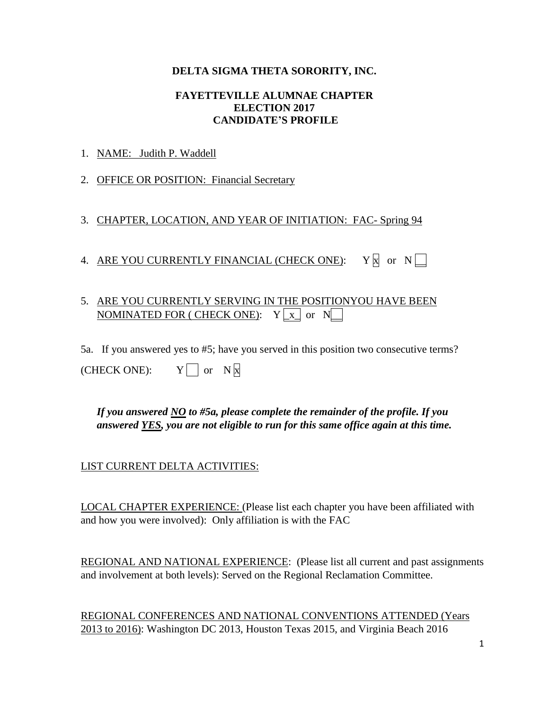### **DELTA SIGMA THETA SORORITY, INC.**

#### **FAYETTEVILLE ALUMNAE CHAPTER ELECTION 2017 CANDIDATE'S PROFILE**

### 1. NAME: Judith P. Waddell

2. OFFICE OR POSITION: Financial Secretary

3. CHAPTER, LOCATION, AND YEAR OF INITIATION: FAC- Spring 94

4. ARE YOU CURRENTLY FINANCIAL (CHECK ONE):  $Y \nvert \nvert$  or  $N \nvert$ 

# 5. ARE YOU CURRENTLY SERVING IN THE POSITIONYOU HAVE BEEN NOMINATED FOR ( CHECK ONE):  $Y \nvert x$  or  $N$

5a. If you answered yes to #5; have you served in this position two consecutive terms?

| $Y \cap \text{or } N \times$ |  |
|------------------------------|--|
|                              |  |

*If you answered NO to #5a, please complete the remainder of the profile. If you answered YES, you are not eligible to run for this same office again at this time.* 

## LIST CURRENT DELTA ACTIVITIES:

LOCAL CHAPTER EXPERIENCE: (Please list each chapter you have been affiliated with and how you were involved): Only affiliation is with the FAC

REGIONAL AND NATIONAL EXPERIENCE: (Please list all current and past assignments and involvement at both levels): Served on the Regional Reclamation Committee.

REGIONAL CONFERENCES AND NATIONAL CONVENTIONS ATTENDED (Years 2013 to 2016): Washington DC 2013, Houston Texas 2015, and Virginia Beach 2016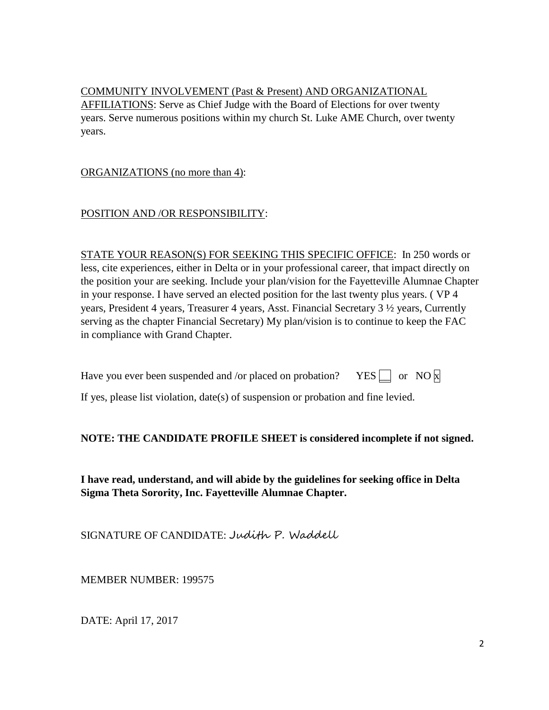COMMUNITY INVOLVEMENT (Past & Present) AND ORGANIZATIONAL AFFILIATIONS: Serve as Chief Judge with the Board of Elections for over twenty years. Serve numerous positions within my church St. Luke AME Church, over twenty years.

ORGANIZATIONS (no more than 4):

POSITION AND /OR RESPONSIBILITY:

STATE YOUR REASON(S) FOR SEEKING THIS SPECIFIC OFFICE: In 250 words or less, cite experiences, either in Delta or in your professional career, that impact directly on the position your are seeking. Include your plan/vision for the Fayetteville Alumnae Chapter in your response. I have served an elected position for the last twenty plus years. ( VP 4 years, President 4 years, Treasurer 4 years, Asst. Financial Secretary 3 ½ years, Currently serving as the chapter Financial Secretary) My plan/vision is to continue to keep the FAC in compliance with Grand Chapter.

| Have you ever been suspended and /or placed on probation? YES $\Box$ or NO $\times$ |  |  |  |  |  |
|-------------------------------------------------------------------------------------|--|--|--|--|--|
|-------------------------------------------------------------------------------------|--|--|--|--|--|

If yes, please list violation, date(s) of suspension or probation and fine levied.

## **NOTE: THE CANDIDATE PROFILE SHEET is considered incomplete if not signed.**

**I have read, understand, and will abide by the guidelines for seeking office in Delta Sigma Theta Sorority, Inc. Fayetteville Alumnae Chapter.**

SIGNATURE OF CANDIDATE: Judith P. Waddell

MEMBER NUMBER: 199575

DATE: April 17, 2017